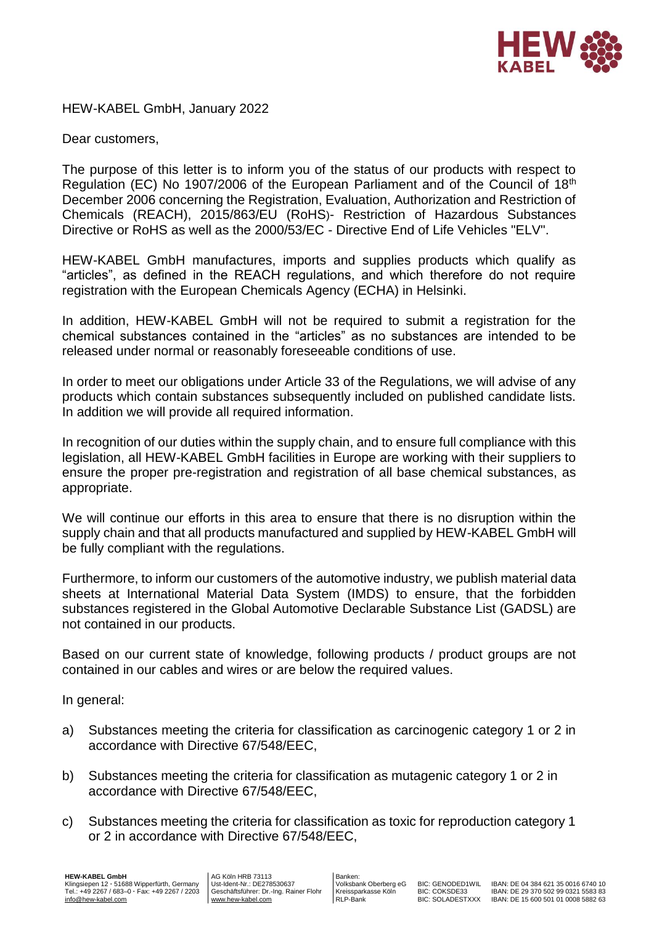

HEW-KABEL GmbH, January 2022

Dear customers,

The purpose of this letter is to inform you of the status of our products with respect to Regulation (EC) No 1907/2006 of the European Parliament and of the Council of 18th December 2006 concerning the Registration, Evaluation, Authorization and Restriction of Chemicals (REACH), 2015/863/EU (RoHS)- Restriction of Hazardous Substances Directive or RoHS as well as the 2000/53/EC - Directive End of Life Vehicles "ELV".

HEW-KABEL GmbH manufactures, imports and supplies products which qualify as "articles", as defined in the REACH regulations, and which therefore do not require registration with the European Chemicals Agency (ECHA) in Helsinki.

In addition, HEW-KABEL GmbH will not be required to submit a registration for the chemical substances contained in the "articles" as no substances are intended to be released under normal or reasonably foreseeable conditions of use.

In order to meet our obligations under Article 33 of the Regulations, we will advise of any products which contain substances subsequently included on published candidate lists. In addition we will provide all required information.

In recognition of our duties within the supply chain, and to ensure full compliance with this legislation, all HEW-KABEL GmbH facilities in Europe are working with their suppliers to ensure the proper pre-registration and registration of all base chemical substances, as appropriate.

We will continue our efforts in this area to ensure that there is no disruption within the supply chain and that all products manufactured and supplied by HEW-KABEL GmbH will be fully compliant with the regulations.

Furthermore, to inform our customers of the automotive industry, we publish material data sheets at International Material Data System (IMDS) to ensure, that the forbidden substances registered in the Global Automotive Declarable Substance List (GADSL) are not contained in our products.

Based on our current state of knowledge, following products / product groups are not contained in our cables and wires or are below the required values.

In general:

- a) Substances meeting the criteria for classification as carcinogenic category 1 or 2 in accordance with Directive 67/548/EEC,
- b) Substances meeting the criteria for classification as mutagenic category 1 or 2 in accordance with Directive 67/548/EEC,
- c) Substances meeting the criteria for classification as toxic for reproduction category 1 or 2 in accordance with Directive 67/548/EEC,